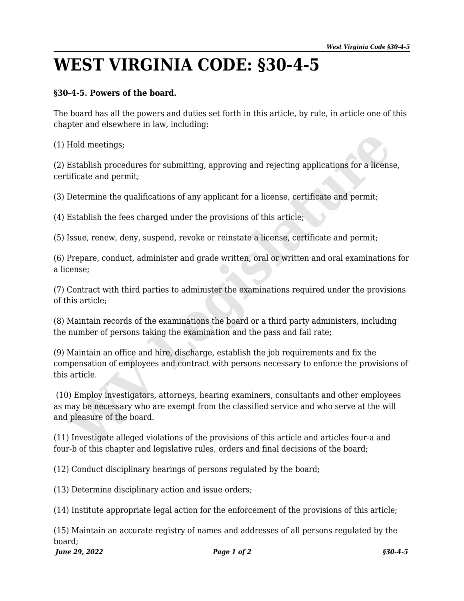## **WEST VIRGINIA CODE: §30-4-5**

## **§30-4-5. Powers of the board.**

The board has all the powers and duties set forth in this article, by rule, in article one of this chapter and elsewhere in law, including:

(1) Hold meetings;

(2) Establish procedures for submitting, approving and rejecting applications for a license, certificate and permit;

(3) Determine the qualifications of any applicant for a license, certificate and permit;

(4) Establish the fees charged under the provisions of this article;

(5) Issue, renew, deny, suspend, revoke or reinstate a license, certificate and permit;

(6) Prepare, conduct, administer and grade written, oral or written and oral examinations for a license;

(7) Contract with third parties to administer the examinations required under the provisions of this article;

(8) Maintain records of the examinations the board or a third party administers, including the number of persons taking the examination and the pass and fail rate;

(9) Maintain an office and hire, discharge, establish the job requirements and fix the compensation of employees and contract with persons necessary to enforce the provisions of this article.

 (10) Employ investigators, attorneys, hearing examiners, consultants and other employees as may be necessary who are exempt from the classified service and who serve at the will and pleasure of the board. Hold meetings;<br>Establish procedures for submitting, approving and rejecting applications for a licens<br>tificate and permit;<br>Determine the qualifications of any applicant for a license, certificate and permit;<br>Establish the

(11) Investigate alleged violations of the provisions of this article and articles four-a and four-b of this chapter and legislative rules, orders and final decisions of the board;

(12) Conduct disciplinary hearings of persons regulated by the board;

(13) Determine disciplinary action and issue orders;

(14) Institute appropriate legal action for the enforcement of the provisions of this article;

*June 29, 2022 Page 1 of 2 §30-4-5* (15) Maintain an accurate registry of names and addresses of all persons regulated by the board;